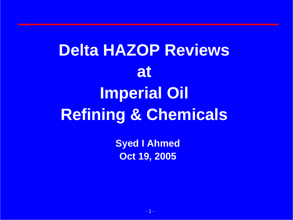**Delta HAZOP Reviews at Imperial Oil Refining & Chemicals**

> **Syed I Ahmed Oct 19, 2005**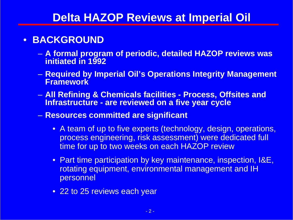#### •**BACKGROUND**

- **A formal program of periodic, detailed HAZOP reviews was initiated in 1992**
- **Required by Imperial Oil's Operations Integrity Management Framework**
- **All Refining & Chemicals facilities - Process, Offsites and Infrastructure - are reviewed on a five year cycle**
- **Resources committed are significant**
	- A team of up to five experts (technology, design, operations, process engineering, risk assessment) were dedicated full time for up to two weeks on each HAZOP review
	- Part time participation by key maintenance, inspection, I&E, rotating equipment, environmental management and IH personnel
	- 22 to 25 reviews each year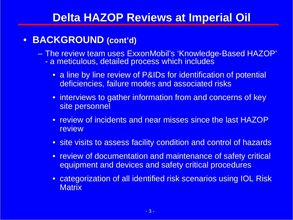#### $\bullet$ **BACKGROUND (cont'd)**

 The review team uses ExxonMobil's 'Knowledge-Based HAZOP' a meticulous, detailed process which includes

- a line by line review of P&IDs for identification of potential deficiencies, failure modes and associated risks
- interviews to gather information from and concerns of key site personnel
- review of incidents and near misses since the last HAZOP **review**
- site visits to assess facility condition and control of hazards
- review of documentation and maintenance of safety critical equipment and devices and safety critical procedures
- categorization of all identified risk scenarios using IOL Risk **Matrix**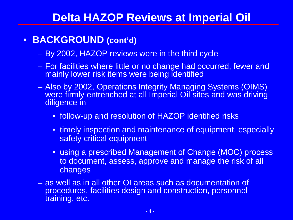#### $\bullet$ **BACKGROUND (cont'd)**

- By 2002, HAZOP reviews were in the third cycle
- For facilities where little or no change had occurred, fewer and mainly lower risk items were being identified
- Also by 2002, Operations Integrity Managing Systems (OIMS) were firmly entrenched at all Imperial Oil sites and was driving diligence in
	- follow-up and resolution of HAZOP identified risks
	- timely inspection and maintenance of equipment, especially safety critical equipment
	- using a prescribed Management of Change (MOC) process to document, assess, approve and manage the risk of all changes
- as well as in all other OI areas such as documentation of procedures, facilities design and construction, personnel training, etc.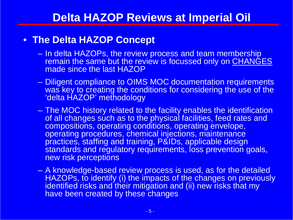### • **The Delta HAZOP Concept**

- In delta HAZOPs, the review process and team membership remain the same but the review is focussed only on CHANGES made since the last HAZOP
- – Diligent compliance to OIMS MOC documentation requirements was key to creating the conditions for considering the use of the 'delta HAZOP' methodology
- The MOC history related to the facility enables the identification of all changes such as to the physical facilities, feed rates and compositions, operating conditions, operating envelope, operating procedures, chemical injections, maintenance practices, staffing and training, P&IDs, applicable design standards and regulatory requirements, loss prevention goals, new risk perceptions
- A knowledge-based review process is used, as for the detailed HAZOPs, to identify (i) the impacts of the changes on previously identified risks and their mitigation and (ii) new risks that my have been created by these changes